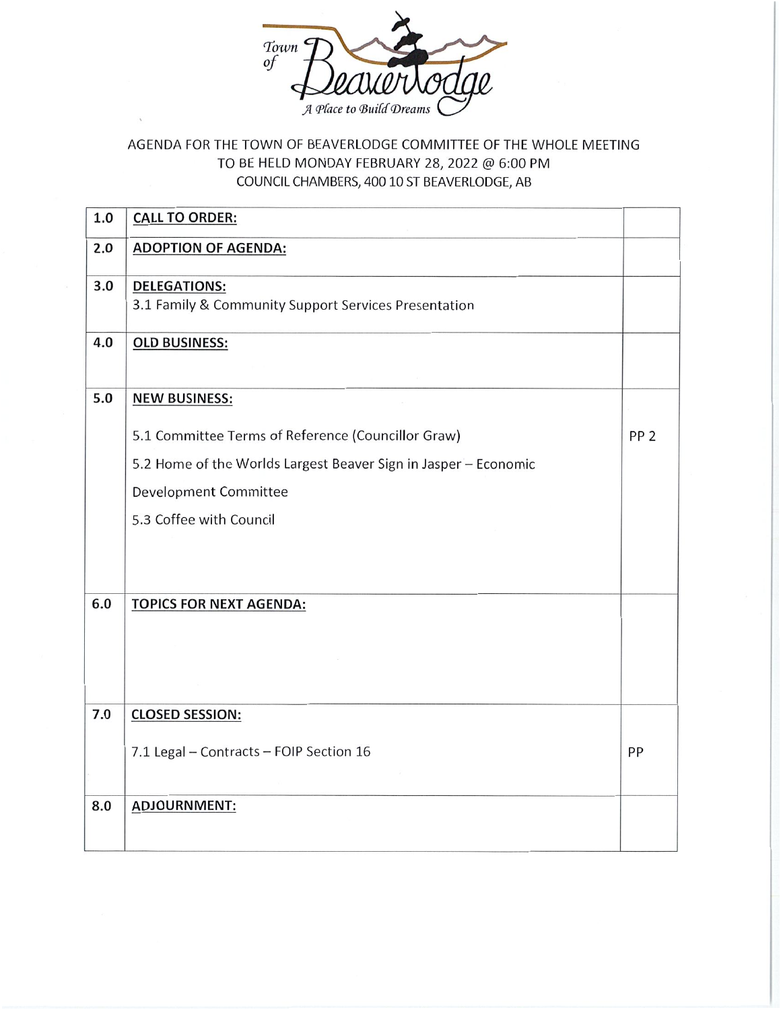

## AGENDA FOR THE TOWN OF BEAVERLODGE COMMITTEE OF THE WHOLE MEETING TO BE HELD MONDAY FEBRUARY 28, 2022 @ 6:00 PM COUNCIL CHAMBERS, 400 10 ST BEAVERLODGE, AB

| 1.0 | <b>CALL TO ORDER:</b>                                                       |                 |
|-----|-----------------------------------------------------------------------------|-----------------|
| 2.0 | <b>ADOPTION OF AGENDA:</b>                                                  |                 |
| 3.0 | <b>DELEGATIONS:</b><br>3.1 Family & Community Support Services Presentation |                 |
| 4.0 | <b>OLD BUSINESS:</b>                                                        |                 |
| 5.0 | <b>NEW BUSINESS:</b>                                                        |                 |
|     | 5.1 Committee Terms of Reference (Councillor Graw)                          | PP <sub>2</sub> |
|     | 5.2 Home of the Worlds Largest Beaver Sign in Jasper - Economic             |                 |
|     | Development Committee                                                       |                 |
|     | 5.3 Coffee with Council                                                     |                 |
|     |                                                                             |                 |
| 6.0 | <b>TOPICS FOR NEXT AGENDA:</b>                                              |                 |
|     |                                                                             |                 |
|     |                                                                             |                 |
|     |                                                                             |                 |
| 7.0 | <b>CLOSED SESSION:</b>                                                      |                 |
|     | 7.1 Legal - Contracts - FOIP Section 16                                     | PP              |
|     |                                                                             |                 |
| 8.0 | <b>ADJOURNMENT:</b>                                                         |                 |
|     |                                                                             |                 |